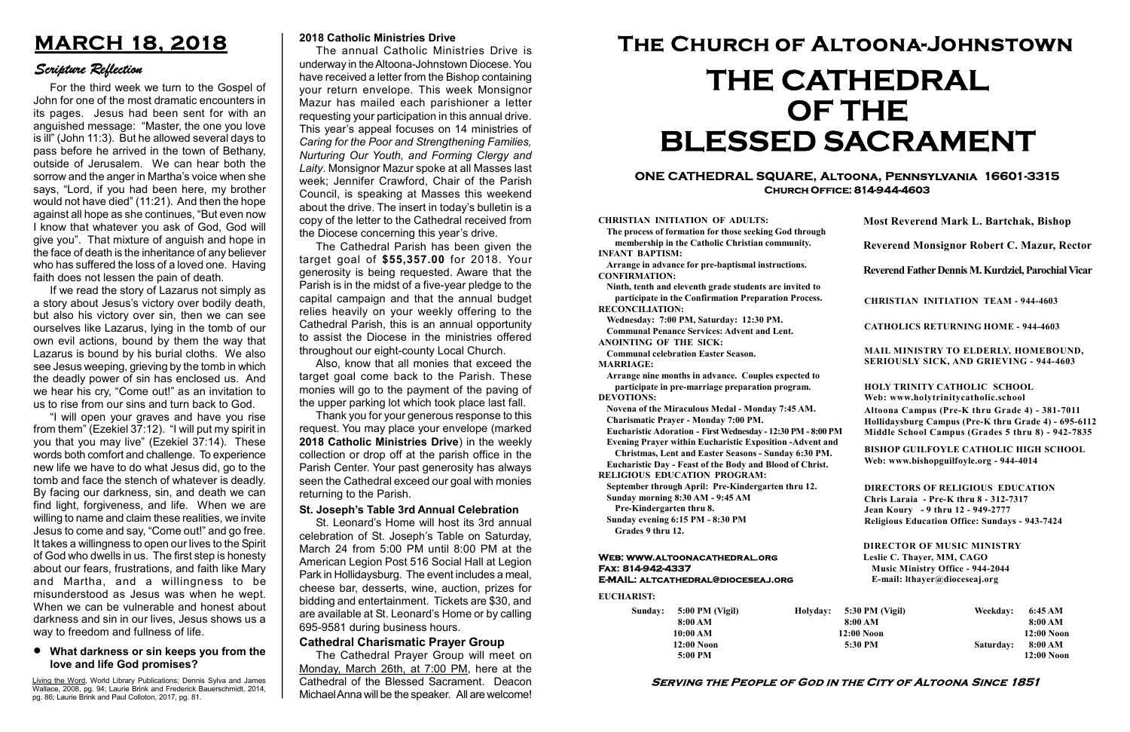#### Serving the People of God in the City of Altoona Since 1851

Sunday: 5:00 PM (Vigil) 8:00 AM 10:00 AM 12:00 Noon 5:00 PM

Holyday:

#### Web: www.altoonacathedral.org Fax: 814-942-4337 E-MAIL: altcathedral@dioceseaj.org

EUCHARIST:

#### CHRISTIAN INITIATION OF ADULTS:

The process of formation for those seeking God through membership in the Catholic Christian community. INFANT BAPTISM:

Arrange in advance for pre-baptismal instructions. CONFIRMATION:

Ninth, tenth and eleventh grade students are invited to participate in the Confirmation Preparation Process. RECONCILIATION:

Wednesday: 7:00 PM, Saturday: 12:30 PM. Communal Penance Services: Advent and Lent.

ANOINTING OF THE SICK: Communal celebration Easter Season.

MARRIAGE:

Arrange nine months in advance. Couples expected to participate in pre-marriage preparation program. DEVOTIONS:

Novena of the Miraculous Medal - Monday 7:45 AM. Charismatic Prayer - Monday 7:00 PM.

Eucharistic Adoration - First Wednesday - 12:30 PM - 8:00 PM

Evening Prayer within Eucharistic Exposition -Advent and

Christmas, Lent and Easter Seasons - Sunday 6:30 PM. Eucharistic Day - Feast of the Body and Blood of Christ.

|                       | <b>Most Reverend Mark L. Bartchak, Bishop</b><br>Reverend Monsignor Robert C. Mazur, Rector                                                                                     |           |                         |
|-----------------------|---------------------------------------------------------------------------------------------------------------------------------------------------------------------------------|-----------|-------------------------|
|                       |                                                                                                                                                                                 |           |                         |
|                       | Reverend Father Dennis M. Kurdziel, Parochial Vicar                                                                                                                             |           |                         |
|                       | <b>CHRISTIAN INITIATION TEAM - 944-4603</b>                                                                                                                                     |           |                         |
|                       | <b>CATHOLICS RETURNING HOME - 944-4603</b>                                                                                                                                      |           |                         |
|                       | MAIL MINISTRY TO ELDERLY, HOMEBOUND,<br>SERIOUSLY SICK, AND GRIEVING - 944-4603                                                                                                 |           |                         |
|                       | <b>HOLY TRINITY CATHOLIC SCHOOL</b><br>Web: www.holytrinitycatholic.school                                                                                                      |           |                         |
| М                     | Altoona Campus (Pre-K thru Grade 4) - 381-7011<br>Hollidaysburg Campus (Pre-K thru Grade 4) - 695-6112<br>Middle School Campus (Grades 5 thru 8) - 942-7835                     |           |                         |
| ł                     | <b>BISHOP GUILFOYLE CATHOLIC HIGH SCHOOL</b><br>Web: www.bishopguilfoyle.org - 944-4014                                                                                         |           |                         |
|                       | <b>DIRECTORS OF RELIGIOUS EDUCATION</b><br>Chris Laraia - Pre-K thru 8 - 312-7317<br>Jean Koury - 9 thru 12 - 949-2777<br><b>Religious Education Office: Sundays - 943-7424</b> |           |                         |
|                       | <b>DIRECTOR OF MUSIC MINISTRY</b><br>Leslie C. Thayer, MM, CAGO<br><b>Music Ministry Office - 944-2044</b><br>E-mail: lthayer@dioceseaj.org                                     |           |                         |
| 5:30 PM (Vigil)       |                                                                                                                                                                                 | Weekday:  | 6:45 AM                 |
| 8:00 AM<br>12:00 Noon |                                                                                                                                                                                 |           | 8:00 AM<br>12:00 Noon   |
| 5:30 PM               |                                                                                                                                                                                 | Saturday: | 8:00 AM<br>$12:00$ Noon |
|                       |                                                                                                                                                                                 |           |                         |

RELIGIOUS EDUCATION PROGRAM:

September through April: Pre-Kindergarten thru 12. Sunday morning 8:30 AM - 9:45 AM

Pre-Kindergarten thru 8.

Sunday evening 6:15 PM - 8:30 PM Grades 9 thru 12.

#### ONE CATHEDRAL SQUARE, Altoona, Pennsylvania 16601-3315 Church Office: 814-944-4603

# The Church of Altoona-Johnstown THE CATHEDRAL OF THE BLESSED SACRAMENT

# MARCH 18, 2018

### Scripture Reflection

#### What darkness or sin keeps you from the love and life God promises?

For the third week we turn to the Gospel of John for one of the most dramatic encounters in its pages. Jesus had been sent for with an anguished message: "Master, the one you love is ill" (John 11:3). But he allowed several days to pass before he arrived in the town of Bethany, outside of Jerusalem. We can hear both the sorrow and the anger in Martha's voice when she says, "Lord, if you had been here, my brother would not have died" (11:21). And then the hope against all hope as she continues, "But even now I know that whatever you ask of God, God will give you". That mixture of anguish and hope in the face of death is the inheritance of any believer who has suffered the loss of a loved one. Having faith does not lessen the pain of death.

If we read the story of Lazarus not simply as a story about Jesus's victory over bodily death, but also his victory over sin, then we can see ourselves like Lazarus, lying in the tomb of our own evil actions, bound by them the way that Lazarus is bound by his burial cloths. We also see Jesus weeping, grieving by the tomb in which the deadly power of sin has enclosed us. And we hear his cry, "Come out!" as an invitation to us to rise from our sins and turn back to God.

"I will open your graves and have you rise from them" (Ezekiel 37:12). "I will put my spirit in you that you may live" (Ezekiel 37:14). These words both comfort and challenge. To experience new life we have to do what Jesus did, go to the tomb and face the stench of whatever is deadly. By facing our darkness, sin, and death we can find light, forgiveness, and life. When we are willing to name and claim these realities, we invite Jesus to come and say, "Come out!" and go free. It takes a willingness to open our lives to the Spirit of God who dwells in us. The first step is honesty about our fears, frustrations, and faith like Mary and Martha, and a willingness to be misunderstood as Jesus was when he wept. When we can be vulnerable and honest about darkness and sin in our lives, Jesus shows us a way to freedom and fullness of life.

Living the Word, World Library Publications; Dennis Sylva and James Wallace, 2008, pg. 94; Laurie Brink and Frederick Bauerschmidt, 2014, pg. 86; Laurie Brink and Paul Colloton, 2017, pg. 81.

#### 2018 Catholic Ministries Drive

The annual Catholic Ministries Drive is underway in the Altoona-Johnstown Diocese. You have received a letter from the Bishop containing your return envelope. This week Monsignor Mazur has mailed each parishioner a letter requesting your participation in this annual drive. This year's appeal focuses on 14 ministries of Caring for the Poor and Strengthening Families, Nurturing Our Youth, and Forming Clergy and Laity. Monsignor Mazur spoke at all Masses last week; Jennifer Crawford, Chair of the Parish Council, is speaking at Masses this weekend about the drive. The insert in today's bulletin is a copy of the letter to the Cathedral received from the Diocese concerning this year's drive.

The Cathedral Parish has been given the target goal of \$55,357.00 for 2018. Your generosity is being requested. Aware that the Parish is in the midst of a five-year pledge to the capital campaign and that the annual budget relies heavily on your weekly offering to the Cathedral Parish, this is an annual opportunity to assist the Diocese in the ministries offered throughout our eight-county Local Church.

Also, know that all monies that exceed the target goal come back to the Parish. These monies will go to the payment of the paving of the upper parking lot which took place last fall.

Thank you for your generous response to this request. You may place your envelope (marked 2018 Catholic Ministries Drive) in the weekly collection or drop off at the parish office in the Parish Center. Your past generosity has always seen the Cathedral exceed our goal with monies returning to the Parish.

#### St. Joseph's Table 3rd Annual Celebration

St. Leonard's Home will host its 3rd annual celebration of St. Joseph's Table on Saturday, March 24 from 5:00 PM until 8:00 PM at the American Legion Post 516 Social Hall at Legion Park in Hollidaysburg. The event includes a meal, cheese bar, desserts, wine, auction, prizes for bidding and entertainment. Tickets are \$30, and are available at St. Leonard's Home or by calling 695-9581 during business hours.

#### Cathedral Charismatic Prayer Group

The Cathedral Prayer Group will meet on Monday, March 26th, at 7:00 PM, here at the Cathedral of the Blessed Sacrament. Deacon Michael Anna will be the speaker. All are welcome!